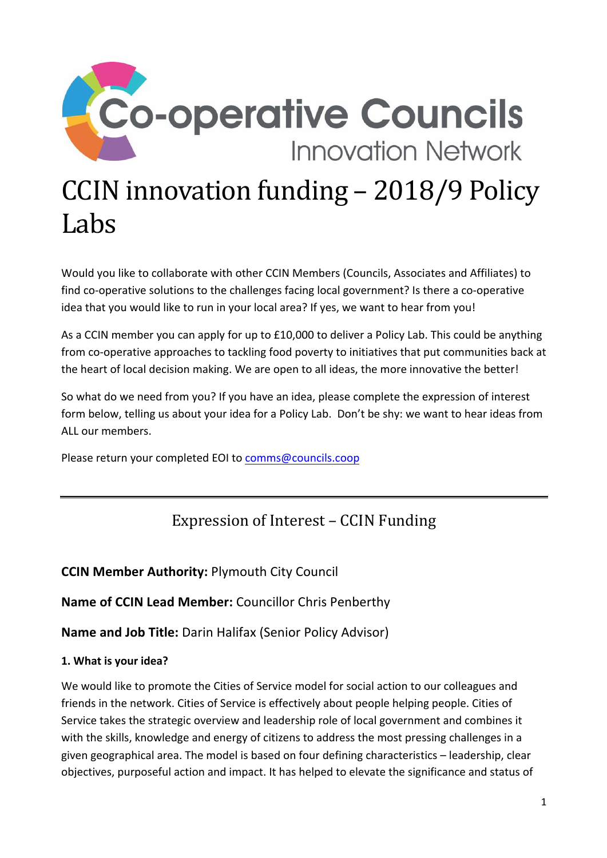

Would you like to collaborate with other CCIN Members (Councils, Associates and Affiliates) to find co-operative solutions to the challenges facing local government? Is there a co-operative idea that you would like to run in your local area? If yes, we want to hear from you!

As a CCIN member you can apply for up to £10,000 to deliver a Policy Lab. This could be anything from co-operative approaches to tackling food poverty to initiatives that put communities back at the heart of local decision making. We are open to all ideas, the more innovative the better!

So what do we need from you? If you have an idea, please complete the expression of interest form below, telling us about your idea for a Policy Lab. Don't be shy: we want to hear ideas from ALL our members.

Please return your completed EOI to comms@councils.coop

# Expression of Interest – CCIN Funding

## **CCIN Member Authority:** Plymouth City Council

**Name of CCIN Lead Member:** Councillor Chris Penberthy

**Name and Job Title:** Darin Halifax (Senior Policy Advisor)

## **1. What is your idea?**

We would like to promote the Cities of Service model for social action to our colleagues and friends in the network. Cities of Service is effectively about people helping people. Cities of Service takes the strategic overview and leadership role of local government and combines it with the skills, knowledge and energy of citizens to address the most pressing challenges in a given geographical area. The model is based on four defining characteristics – leadership, clear objectives, purposeful action and impact. It has helped to elevate the significance and status of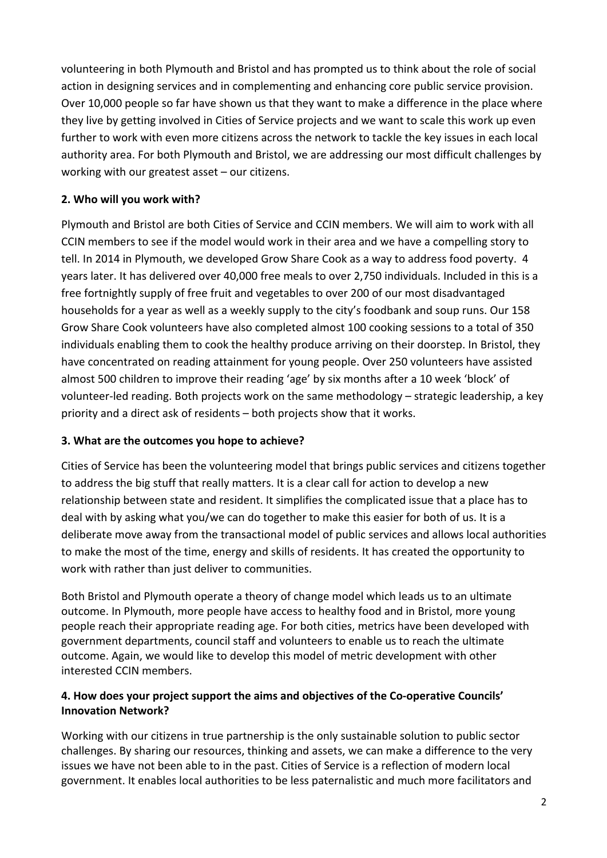volunteering in both Plymouth and Bristol and has prompted us to think about the role of social action in designing services and in complementing and enhancing core public service provision. Over 10,000 people so far have shown us that they want to make a difference in the place where they live by getting involved in Cities of Service projects and we want to scale this work up even further to work with even more citizens across the network to tackle the key issues in each local authority area. For both Plymouth and Bristol, we are addressing our most difficult challenges by working with our greatest asset – our citizens.

#### **2. Who will you work with?**

Plymouth and Bristol are both Cities of Service and CCIN members. We will aim to work with all CCIN members to see if the model would work in their area and we have a compelling story to tell. In 2014 in Plymouth, we developed Grow Share Cook as a way to address food poverty. 4 years later. It has delivered over 40,000 free meals to over 2,750 individuals. Included in this is a free fortnightly supply of free fruit and vegetables to over 200 of our most disadvantaged households for a year as well as a weekly supply to the city's foodbank and soup runs. Our 158 Grow Share Cook volunteers have also completed almost 100 cooking sessions to a total of 350 individuals enabling them to cook the healthy produce arriving on their doorstep. In Bristol, they have concentrated on reading attainment for young people. Over 250 volunteers have assisted almost 500 children to improve their reading 'age' by six months after a 10 week 'block' of volunteer-led reading. Both projects work on the same methodology – strategic leadership, a key priority and a direct ask of residents – both projects show that it works.

#### **3. What are the outcomes you hope to achieve?**

Cities of Service has been the volunteering model that brings public services and citizens together to address the big stuff that really matters. It is a clear call for action to develop a new relationship between state and resident. It simplifies the complicated issue that a place has to deal with by asking what you/we can do together to make this easier for both of us. It is a deliberate move away from the transactional model of public services and allows local authorities to make the most of the time, energy and skills of residents. It has created the opportunity to work with rather than just deliver to communities.

Both Bristol and Plymouth operate a theory of change model which leads us to an ultimate outcome. In Plymouth, more people have access to healthy food and in Bristol, more young people reach their appropriate reading age. For both cities, metrics have been developed with government departments, council staff and volunteers to enable us to reach the ultimate outcome. Again, we would like to develop this model of metric development with other interested CCIN members.

#### **4. How does your project support the aims and objectives of the Co-operative Councils' Innovation Network?**

Working with our citizens in true partnership is the only sustainable solution to public sector challenges. By sharing our resources, thinking and assets, we can make a difference to the very issues we have not been able to in the past. Cities of Service is a reflection of modern local government. It enables local authorities to be less paternalistic and much more facilitators and